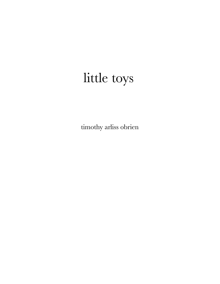# little toys

timothy arliss obrien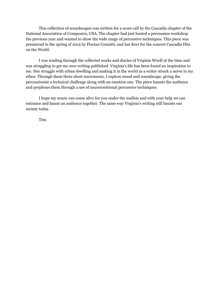This collection of soundscapes was written for a score call by the Cascadia chapter of the National Association of Composers, USA. The chapter had just hosted a percussion workshop the previous year and wanted to show the wide range of percussive techniques. This piece was premiered in the spring of 2015 by Florian Conzetti, and Ian Kerr for the concert Cascadia Hits on the World.

I was reading through the collected works and diaries of Virginia Woolf at the time and was struggling to get my own writing published. Virginia's life has been found an inspiration to me. Her struggle with urban dwelling and making it in the world as a writer struck a nerve in my ethos. Through these three short movements, I explore mood and soundscape, giving the percussionist a technical challenge along with an emotion one. The piece haunts the audience and perplexes them through a use of unconventional percussive techniques.

I hope my music can come alive for you under the mallets and with your help we can entrance and haunt an audience together. The same way Virginia's writing still haunts our society today.

Tim.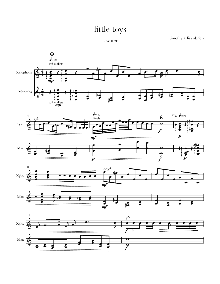### little toys

i. water

timothy arliss obrien







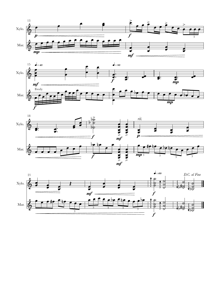





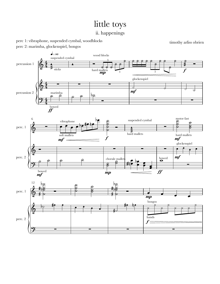## little toys

#### ii. happenings

perc 1: vibraphone, suspended cymbal, woodblocks timothy arliss obrien perc 2: marimba, glockenspiel, bongos

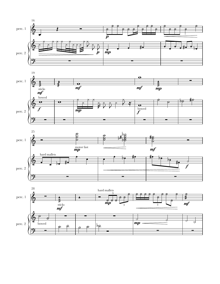





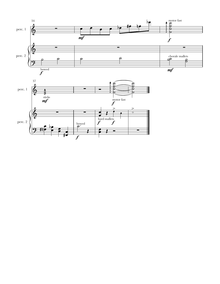